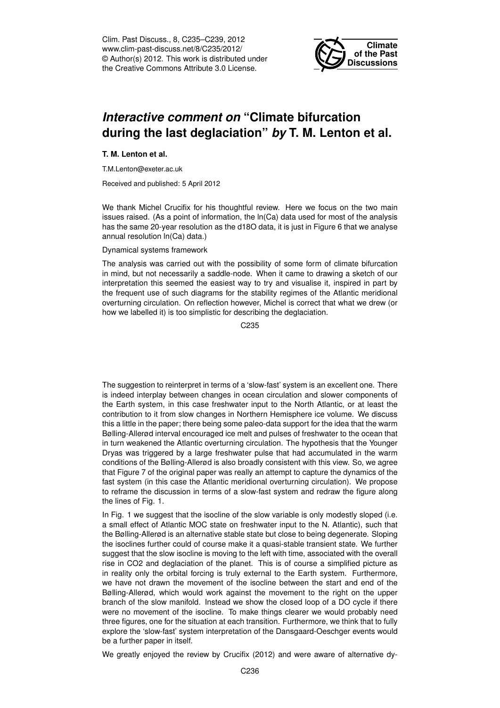Clim. Past Discuss., 8, C235–C239, 2012 www.clim-past-discuss.net/8/C235/2012/ © Author(s) 2012. This work is distributed under the Creative Commons Attribute 3.0 License.



## *Interactive comment on* **"Climate bifurcation during the last deglaciation"** *by* **T. M. Lenton et al.**

## **T. M. Lenton et al.**

T.M.Lenton@exeter.ac.uk

Received and published: 5 April 2012

We thank Michel Crucifix for his thoughtful review. Here we focus on the two main issues raised. (As a point of information, the ln(Ca) data used for most of the analysis has the same 20-year resolution as the d18O data, it is just in Figure 6 that we analyse annual resolution ln(Ca) data.)

## Dynamical systems framework

The analysis was carried out with the possibility of some form of climate bifurcation in mind, but not necessarily a saddle-node. When it came to drawing a sketch of our interpretation this seemed the easiest way to try and visualise it, inspired in part by the frequent use of such diagrams for the stability regimes of the Atlantic meridional overturning circulation. On reflection however, Michel is correct that what we drew (or how we labelled it) is too simplistic for describing the deglaciation.

C235

The suggestion to reinterpret in terms of a 'slow-fast' system is an excellent one. There is indeed interplay between changes in ocean circulation and slower components of the Earth system, in this case freshwater input to the North Atlantic, or at least the contribution to it from slow changes in Northern Hemisphere ice volume. We discuss this a little in the paper; there being some paleo-data support for the idea that the warm Bølling-Allerød interval encouraged ice melt and pulses of freshwater to the ocean that in turn weakened the Atlantic overturning circulation. The hypothesis that the Younger Dryas was triggered by a large freshwater pulse that had accumulated in the warm conditions of the Bølling-Allerød is also broadly consistent with this view. So, we agree that Figure 7 of the original paper was really an attempt to capture the dynamics of the fast system (in this case the Atlantic meridional overturning circulation). We propose to reframe the discussion in terms of a slow-fast system and redraw the figure along the lines of Fig. 1.

In Fig. 1 we suggest that the isocline of the slow variable is only modestly sloped (i.e. a small effect of Atlantic MOC state on freshwater input to the N. Atlantic), such that the Bølling-Allerød is an alternative stable state but close to being degenerate. Sloping the isoclines further could of course make it a quasi-stable transient state. We further suggest that the slow isocline is moving to the left with time, associated with the overall rise in CO2 and deglaciation of the planet. This is of course a simplified picture as in reality only the orbital forcing is truly external to the Earth system. Furthermore, we have not drawn the movement of the isocline between the start and end of the Bølling-Allerød, which would work against the movement to the right on the upper branch of the slow manifold. Instead we show the closed loop of a DO cycle if there were no movement of the isocline. To make things clearer we would probably need three figures, one for the situation at each transition. Furthermore, we think that to fully explore the 'slow-fast' system interpretation of the Dansgaard-Oeschger events would be a further paper in itself.

We greatly enjoyed the review by Crucifix (2012) and were aware of alternative dy-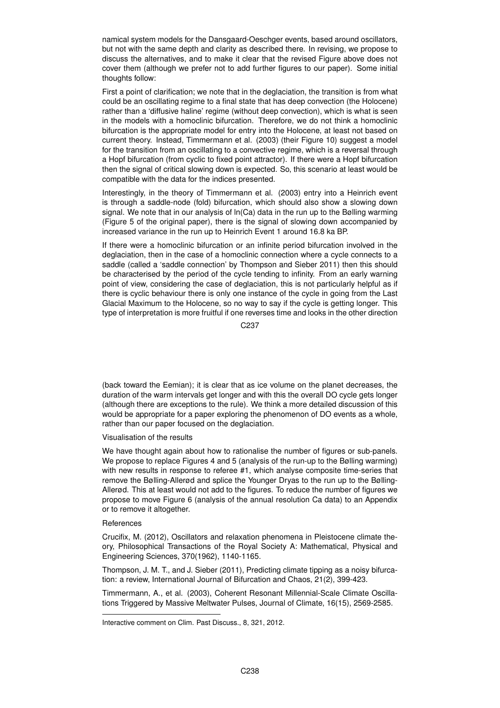namical system models for the Dansgaard-Oeschger events, based around oscillators, but not with the same depth and clarity as described there. In revising, we propose to discuss the alternatives, and to make it clear that the revised Figure above does not cover them (although we prefer not to add further figures to our paper). Some initial thoughts follow:

First a point of clarification; we note that in the deglaciation, the transition is from what could be an oscillating regime to a final state that has deep convection (the Holocene) rather than a 'diffusive haline' regime (without deep convection), which is what is seen in the models with a homoclinic bifurcation. Therefore, we do not think a homoclinic bifurcation is the appropriate model for entry into the Holocene, at least not based on current theory. Instead, Timmermann et al. (2003) (their Figure 10) suggest a model for the transition from an oscillating to a convective regime, which is a reversal through a Hopf bifurcation (from cyclic to fixed point attractor). If there were a Hopf bifurcation then the signal of critical slowing down is expected. So, this scenario at least would be compatible with the data for the indices presented.

Interestingly, in the theory of Timmermann et al. (2003) entry into a Heinrich event is through a saddle-node (fold) bifurcation, which should also show a slowing down signal. We note that in our analysis of ln(Ca) data in the run up to the Bølling warming (Figure 5 of the original paper), there is the signal of slowing down accompanied by increased variance in the run up to Heinrich Event 1 around 16.8 ka BP.

If there were a homoclinic bifurcation or an infinite period bifurcation involved in the deglaciation, then in the case of a homoclinic connection where a cycle connects to a saddle (called a 'saddle connection' by Thompson and Sieber 2011) then this should be characterised by the period of the cycle tending to infinity. From an early warning point of view, considering the case of deglaciation, this is not particularly helpful as if there is cyclic behaviour there is only one instance of the cycle in going from the Last Glacial Maximum to the Holocene, so no way to say if the cycle is getting longer. This type of interpretation is more fruitful if one reverses time and looks in the other direction

C237

(back toward the Eemian); it is clear that as ice volume on the planet decreases, the duration of the warm intervals get longer and with this the overall DO cycle gets longer (although there are exceptions to the rule). We think a more detailed discussion of this would be appropriate for a paper exploring the phenomenon of DO events as a whole, rather than our paper focused on the deglaciation.

Visualisation of the results

We have thought again about how to rationalise the number of figures or sub-panels. We propose to replace Figures 4 and 5 (analysis of the run-up to the Bølling warming) with new results in response to referee #1, which analyse composite time-series that remove the Bølling-Allerød and splice the Younger Dryas to the run up to the Bølling-Allerød. This at least would not add to the figures. To reduce the number of figures we propose to move Figure 6 (analysis of the annual resolution Ca data) to an Appendix or to remove it altogether.

## **References**

Crucifix, M. (2012), Oscillators and relaxation phenomena in Pleistocene climate theory, Philosophical Transactions of the Royal Society A: Mathematical, Physical and Engineering Sciences, 370(1962), 1140-1165.

Thompson, J. M. T., and J. Sieber (2011), Predicting climate tipping as a noisy bifurcation: a review, International Journal of Bifurcation and Chaos, 21(2), 399-423.

Timmermann, A., et al. (2003), Coherent Resonant Millennial-Scale Climate Oscillations Triggered by Massive Meltwater Pulses, Journal of Climate, 16(15), 2569-2585.

Interactive comment on Clim. Past Discuss., 8, 321, 2012.